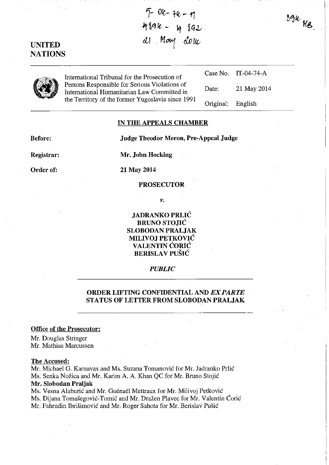$7 - 0$ k - tk - tj  $-489k - 4892$ al May done

UNITED **NATIONS** 

| International Tribunal for the Prosecution of                                                                                                     |                   | Case No. IT-04-74-A |
|---------------------------------------------------------------------------------------------------------------------------------------------------|-------------------|---------------------|
| Persons Responsible for Serious Violations of<br>International Humanitarian Law Committed in<br>the Territory of the former Yugoslavia since 1991 | Date:             | 21 May 2014         |
|                                                                                                                                                   | Original: English |                     |

### IN THE APPEALS CHAMBER

Before: Judge Theodor Meron, Pre-Appeal Judge

Registrar:

Order of:

Mr. John Hocking

21 May 2014

## PROSECUTOR

*v.* 

JADRANKO PRLIC BRUNO STOJIC SLOBODAN PRALJAK MILIVOJ PETKOVIC VALENTIN CORIC BERISLAV PUŠIĆ

## *PUBLIC*

# ORDER LIFTING CONFIDENTIAL AND *EX PARTE*  STATUS OF LETTER FROM SLOBODAN PRALJAK

### Office of the Prosecutor:

Mr. Douglas Stringer Mr. Mathias Marcussen

### The Accused:

Mr. Michael G. Karnavas and Ms. Suzana Tomanović for Mr. Jadranko Prlić Ms. Senka Nozica and Mr. Karim A. A. Khan QC for Mr. Bruno Stojic

# Mr. Slobodan Praljak

Ms. Vesna Alaburić and Mr. Guénaël Mettraux for Mr. Milivoj Petković Ms. Dijana Tomasegovic-Tomic and Mr. Drazen Plavec for Mr. Valentin Coric Mr. Fahrudin Ibrisimovic and Mr. Roger Sabota for Mr. Berislav Pusic

 $894$   $\mu$ <sub>8</sub>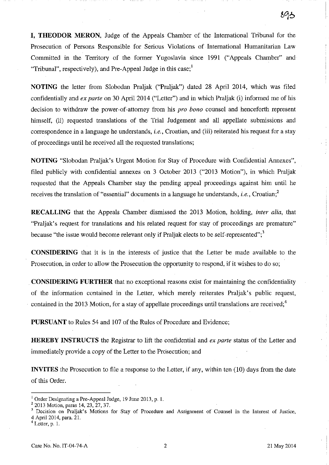**I, THEODOR MERON,** Judge of the Appeals Chamber of the International Tribunal for the Prosecution of Persons Responsible for Serious Violations of International Humanitarian Law Committed in the Territory of the former Yugoslavia since 1991 ("Appeals Chamber" and "Tribunal", respectively), and Pre-Appeal Judge in this case;<sup>1</sup>

**NOTING** the letter from Slobodan Praljak ("Praljak") dated 2& April 2014, which was filed confidentially and *ex parte* on 30 April 2014 ("Letter") and in which Praljak (i) informed me of his decision to withdraw the power -of-attorney from his *pro bono* counsel and henceforth represent himself, (ii) requested translations of the Trial Judgement and all appellate submissions and correspondence in a language he understands, *i.e.,* Croatian, and (iii) reiterated his request for a stay of proceedings until he received all the requested translations;

**NOTING** "Slobodan Praljak's Urgent Motion for Stay of Procedure with Confidential Annexes", filed publicly with confidential annexes on 3 October 2013 ("2013 Motion"), in which Praljak requested that the Appeals Chamber stay the pending appeal proceedings against him until he receives the translation of "essential" documents in a language he understands, *i.e.*, Croatian;<sup>2</sup>

**RECALLING** that the Appeals Chamber dismissed the 2013 Motion, holding, *inter alia,* that "Praljak's request for translations and his related request for stay of proceedings are premature" because "the issue would become relevant only if Praljak elects to be self-represented";<sup>3</sup>

**CONSIDERING** that it is in the interests of justice that the Letter be made available to the Prosecution, in order to allow the Prosecution the opportunity to respond, if it wishes to do so;

. **CONSIDERING FURTHER** that no exceptional reasons exist for maintaining the confidentiality of the information contained in the Letter, which merely reiterates Praljak's public request, contained in the 2013 Motion, for a stay of appellate proceedings until translations are received;<sup>4</sup>

**PURSUANT** to Rules 54 and 107 of the Rules of Procedure and Evidence;

**HEREBY INSTRUCTS** the Registrar to lift the confidential and *ex parte* status of the Letter and immediately provide a copy of the Letter to the Prosecution; and

**INVITES** the Prosecution to file a response to the Letter, if any, within ten (10) days from the date of this Order.

 $<sup>1</sup>$  Order Designating a Pre-Appeal Judge, 19 June 2013, p. 1.</sup>

<sup>&</sup>lt;sup>2</sup> 2013 Motion, paras 14, 23, 27, 37.

<sup>&</sup>lt;sup>3</sup> Decision on Praljak's Motions for Stay of Procedure and Assignment of Counsel in the Interest of Justice, 4 April 2014, para. 21.

<sup>4</sup> Letter, p. 1.